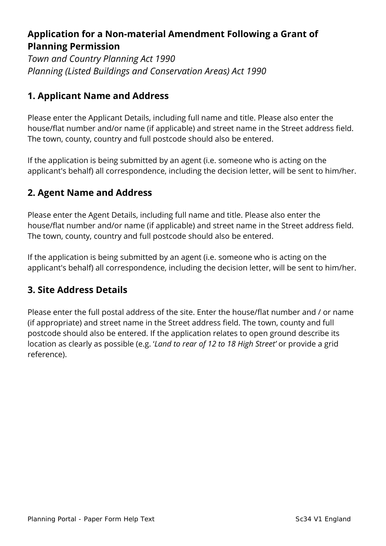## **Application for a Non-material Amendment Following a Grant of Planning Permission**

*Town and Country Planning Act 1990 Planning (Listed Buildings and Conservation Areas) Act 1990* 

### **1. Applicant Name and Address**

Please enter the Applicant Details, including full name and title. Please also enter the house/flat number and/or name (if applicable) and street name in the Street address field. The town, county, country and full postcode should also be entered.

If the application is being submitted by an agent (i.e. someone who is acting on the applicant's behalf) all correspondence, including the decision letter, will be sent to him/her.

## **2. Agent Name and Address**

Please enter the Agent Details, including full name and title. Please also enter the house/flat number and/or name (if applicable) and street name in the Street address field. The town, county, country and full postcode should also be entered.

If the application is being submitted by an agent (i.e. someone who is acting on the applicant's behalf) all correspondence, including the decision letter, will be sent to him/her.

### **3. Site Address Details**

Please enter the full postal address of the site. Enter the house/flat number and / or name (if appropriate) and street name in the Street address field. The town, county and full postcode should also be entered. If the application relates to open ground describe its location as clearly as possible (e.g. '*Land to rear of 12 to 18 High Street'* or provide a grid reference).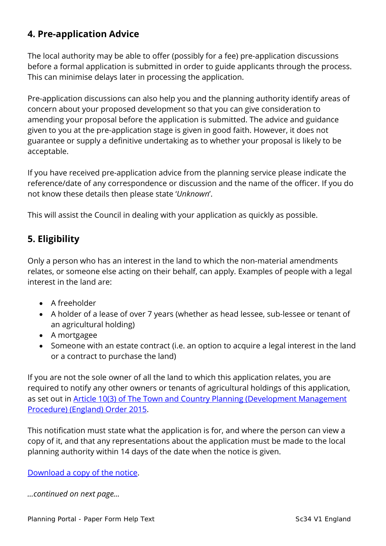## **4. Pre-application Advice**

The local authority may be able to offer (possibly for a fee) pre-application discussions before a formal application is submitted in order to guide applicants through the process. This can minimise delays later in processing the application.

Pre-application discussions can also help you and the planning authority identify areas of concern about your proposed development so that you can give consideration to amending your proposal before the application is submitted. The advice and guidance given to you at the pre-application stage is given in good faith. However, it does not guarantee or supply a definitive undertaking as to whether your proposal is likely to be acceptable.

If you have received pre-application advice from the planning service please indicate the reference/date of any correspondence or discussion and the name of the officer. If you do not know these details then please state '*Unknown*'.

This will assist the Council in dealing with your application as quickly as possible.

## **5. Eligibility**

Only a person who has an interest in the land to which the non-material amendments relates, or someone else acting on their behalf, can apply. Examples of people with a legal interest in the land are:

- A freeholder
- A holder of a lease of over 7 years (whether as head lessee, sub-lessee or tenant of an agricultural holding)
- A mortgagee
- Someone with an estate contract (i.e. an option to acquire a legal interest in the land or a contract to purchase the land)

If you are not the sole owner of all the land to which this application relates, you are required to notify any other owners or tenants of agricultural holdings of this application, as set out in **Article 10(3) of The Town and Country Planning (Development Management** [Procedure\) \(England\) Order 2015.](http://www.legislation.gov.uk/uksi/2015/595/article/10/made)

This notification must state what the application is for, and where the person can view a copy of it, and that any representations about the application must be made to the local planning authority within 14 days of the date when the notice is given.

[Download a copy of the notice.](https://ecab.planningportal.co.uk/uploads/1app/notices/nma_notice.pdf)

*…continued on next page…*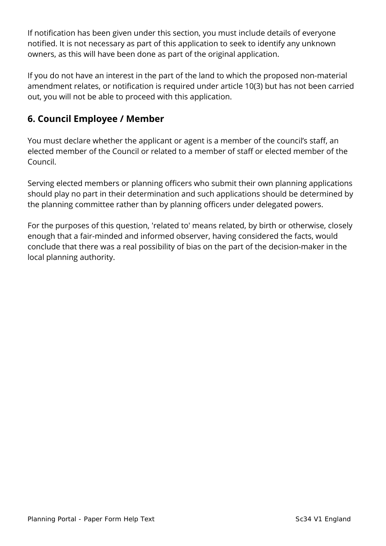If notification has been given under this section, you must include details of everyone notified. It is not necessary as part of this application to seek to identify any unknown owners, as this will have been done as part of the original application.

If you do not have an interest in the part of the land to which the proposed non-material amendment relates, or notification is required under article 10(3) but has not been carried out, you will not be able to proceed with this application.

## **6. Council Employee / Member**

You must declare whether the applicant or agent is a member of the council's staff, an elected member of the Council or related to a member of staff or elected member of the Council.

Serving elected members or planning officers who submit their own planning applications should play no part in their determination and such applications should be determined by the planning committee rather than by planning officers under delegated powers.

For the purposes of this question, 'related to' means related, by birth or otherwise, closely enough that a fair-minded and informed observer, having considered the facts, would conclude that there was a real possibility of bias on the part of the decision-maker in the local planning authority.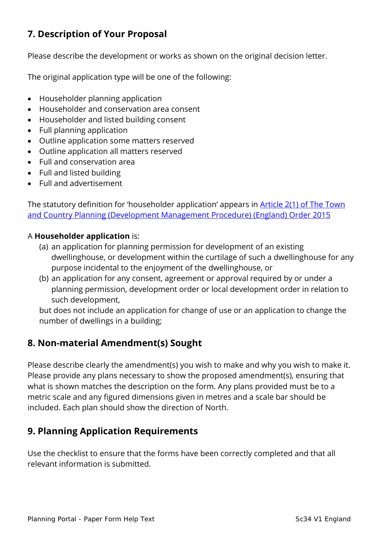# **7. Description of Your Proposal**

Please describe the development or works as shown on the original decision letter.

The original application type will be one of the following:

- Householder planning application
- Householder and conservation area consent
- Householder and listed building consent
- Full planning application
- Outline application some matters reserved
- Outline application all matters reserved
- Full and conservation area
- Full and listed building
- Full and advertisement

The statutory definition for 'householder application' appears in [Article 2\(1\) of The Town](http://www.legislation.gov.uk/uksi/2015/595/article/2/made)  [and Country Planning \(Development Management Procedure\) \(England\) Order 2015](http://www.legislation.gov.uk/uksi/2015/595/article/2/made)

#### A **Householder application** is:

- (a) an application for planning permission for development of an existing dwellinghouse, or development within the curtilage of such a dwellinghouse for any purpose incidental to the enjoyment of the dwellinghouse, or
- (b) an application for any consent, agreement or approval required by or under a planning permission, development order or local development order in relation to such development,

but does not include an application for change of use or an application to change the number of dwellings in a building;

### **8. Non-material Amendment(s) Sought**

Please describe clearly the amendment(s) you wish to make and why you wish to make it. Please provide any plans necessary to show the proposed amendment(s), ensuring that what is shown matches the description on the form. Any plans provided must be to a metric scale and any figured dimensions given in metres and a scale bar should be included. Each plan should show the direction of North.

### **9. Planning Application Requirements**

Use the checklist to ensure that the forms have been correctly completed and that all relevant information is submitted.